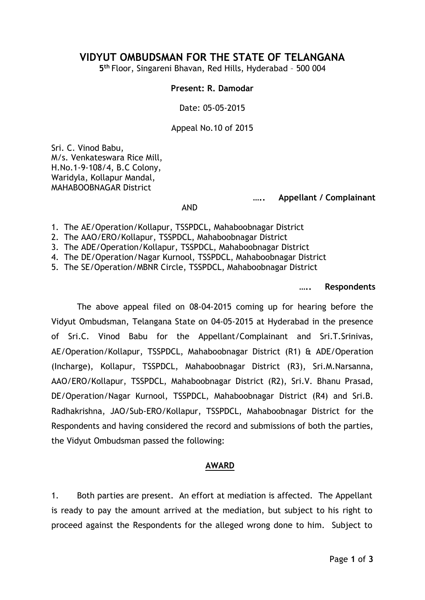## **VIDYUT OMBUDSMAN FOR THE STATE OF TELANGANA**

**5 th** Floor, Singareni Bhavan, Red Hills, Hyderabad – 500 004

## **Present: R. Damodar**

Date: 05-05-2015

Appeal No.10 of 2015

Sri. C. Vinod Babu, M/s. Venkateswara Rice Mill, H.No.1-9-108/4, B.C Colony, Waridyla, Kollapur Mandal, MAHABOOBNAGAR District

**….. Appellant / Complainant**

AND

- 1. The AE/Operation/Kollapur, TSSPDCL, Mahaboobnagar District
- 2. The AAO/ERO/Kollapur, TSSPDCL, Mahaboobnagar District
- 3. The ADE/Operation/Kollapur, TSSPDCL, Mahaboobnagar District
- 4. The DE/Operation/Nagar Kurnool, TSSPDCL, Mahaboobnagar District
- 5. The SE/Operation/MBNR Circle, TSSPDCL, Mahaboobnagar District

**….. Respondents**

The above appeal filed on 08-04-2015 coming up for hearing before the Vidyut Ombudsman, Telangana State on 04-05-2015 at Hyderabad in the presence of Sri.C. Vinod Babu for the Appellant/Complainant and Sri.T.Srinivas, AE/Operation/Kollapur, TSSPDCL, Mahaboobnagar District (R1) & ADE/Operation (Incharge), Kollapur, TSSPDCL, Mahaboobnagar District (R3), Sri.M.Narsanna, AAO/ERO/Kollapur, TSSPDCL, Mahaboobnagar District (R2), Sri.V. Bhanu Prasad, DE/Operation/Nagar Kurnool, TSSPDCL, Mahaboobnagar District (R4) and Sri.B. Radhakrishna, JAO/Sub-ERO/Kollapur, TSSPDCL, Mahaboobnagar District for the Respondents and having considered the record and submissions of both the parties, the Vidyut Ombudsman passed the following:

## **AWARD**

1. Both parties are present. An effort at mediation is affected. The Appellant is ready to pay the amount arrived at the mediation, but subject to his right to proceed against the Respondents for the alleged wrong done to him. Subject to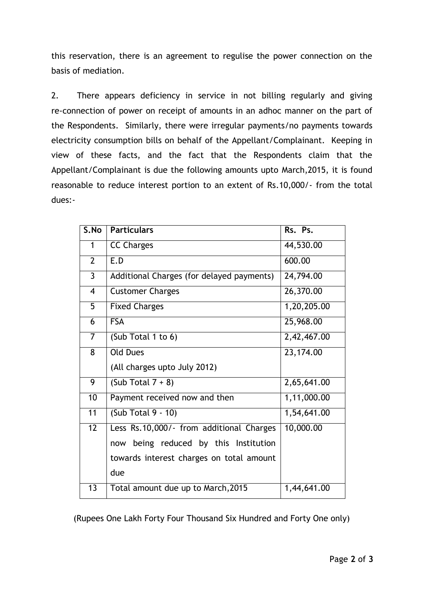this reservation, there is an agreement to regulise the power connection on the basis of mediation.

2. There appears deficiency in service in not billing regularly and giving re-connection of power on receipt of amounts in an adhoc manner on the part of the Respondents. Similarly, there were irregular payments/no payments towards electricity consumption bills on behalf of the Appellant/Complainant. Keeping in view of these facts, and the fact that the Respondents claim that the Appellant/Complainant is due the following amounts upto March,2015, it is found reasonable to reduce interest portion to an extent of Rs.10,000/- from the total dues:-

| S.No           | <b>Particulars</b>                        | Rs. Ps.     |
|----------------|-------------------------------------------|-------------|
| 1              | <b>CC Charges</b>                         | 44,530.00   |
| $\overline{2}$ | E.D                                       | 600.00      |
| 3              | Additional Charges (for delayed payments) | 24,794.00   |
| $\overline{4}$ | <b>Customer Charges</b>                   | 26,370.00   |
| 5              | <b>Fixed Charges</b>                      | 1,20,205.00 |
| 6              | <b>FSA</b>                                | 25,968.00   |
| $\overline{7}$ | (Sub Total 1 to 6)                        | 2,42,467.00 |
| 8              | <b>Old Dues</b>                           | 23,174.00   |
|                | (All charges upto July 2012)              |             |
| 9              | (Sub Total $7 + 8$ )                      | 2,65,641.00 |
| 10             | Payment received now and then             | 1,11,000.00 |
| 11             | $(Sub Total 9 - 10)$                      | 1,54,641.00 |
| 12             | Less Rs.10,000/- from additional Charges  | 10,000.00   |
|                | being reduced by this Institution<br>now  |             |
|                | towards interest charges on total amount  |             |
|                | due                                       |             |
| 13             | Total amount due up to March, 2015        | 1,44,641.00 |

(Rupees One Lakh Forty Four Thousand Six Hundred and Forty One only)